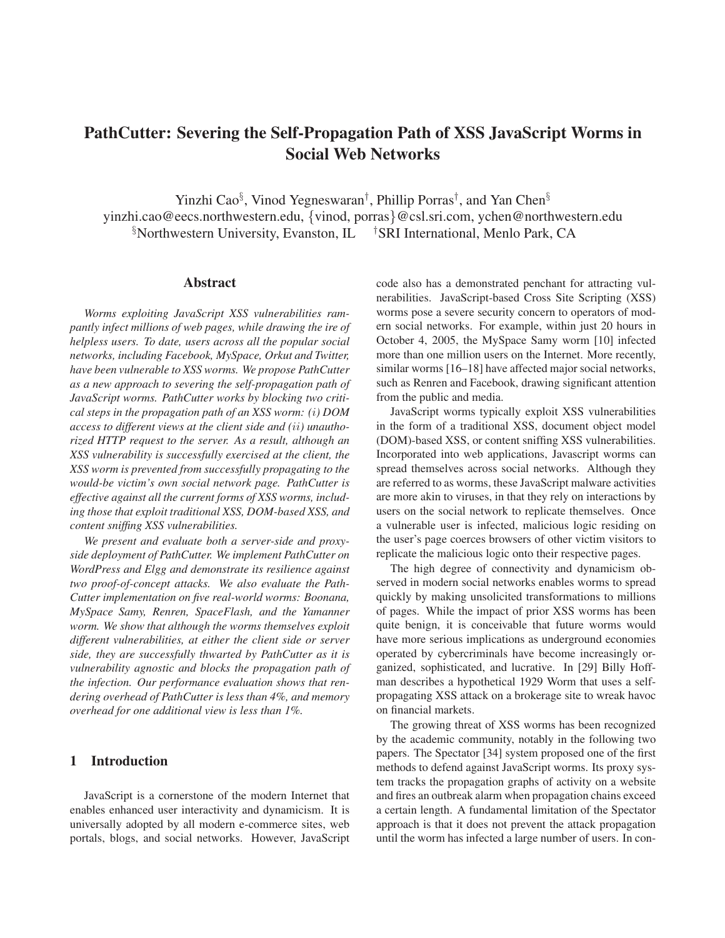# PathCutter: Severing the Self-Propagation Path of XSS JavaScript Worms in Social Web Networks

Yinzhi Cao<sup>§</sup>, Vinod Yegneswaran<sup>†</sup>, Phillip Porras<sup>†</sup>, and Yan Chen<sup>§</sup> yinzhi.cao@eecs.northwestern.edu, {vinod, porras}@csl.sri.com, ychen@northwestern.edu <sup>§</sup>Northwestern University, Evanston, IL <sup>†</sup>SRI International, Menlo Park, CA

### Abstract

*Worms exploiting JavaScript XSS vulnerabilities rampantly infect millions of web pages, while drawing the ire of helpless users. To date, users across all the popular social networks, including Facebook, MySpace, Orkut and Twitter, have been vulnerable to XSS worms. We propose PathCutter as a new approach to severing the self-propagation path of JavaScript worms. PathCutter works by blocking two critical steps in the propagation path of an XSS worm: (*i*) DOM access to different views at the client side and (*ii*) unauthorized HTTP request to the server. As a result, although an XSS vulnerability is successfully exercised at the client, the XSS worm is prevented from successfully propagating to the would-be victim's own social network page. PathCutter is effective against all the current forms of XSS worms, including those that exploit traditional XSS, DOM-based XSS, and content sniffing XSS vulnerabilities.*

*We present and evaluate both a server-side and proxyside deployment of PathCutter. We implement PathCutter on WordPress and Elgg and demonstrate its resilience against two proof-of-concept attacks. We also evaluate the Path-Cutter implementation on five real-world worms: Boonana, MySpace Samy, Renren, SpaceFlash, and the Yamanner worm. We show that although the worms themselves exploit different vulnerabilities, at either the client side or server side, they are successfully thwarted by PathCutter as it is vulnerability agnostic and blocks the propagation path of the infection. Our performance evaluation shows that rendering overhead of PathCutter is less than 4%, and memory overhead for one additional view is less than 1%.*

# 1 Introduction

JavaScript is a cornerstone of the modern Internet that enables enhanced user interactivity and dynamicism. It is universally adopted by all modern e-commerce sites, web portals, blogs, and social networks. However, JavaScript code also has a demonstrated penchant for attracting vulnerabilities. JavaScript-based Cross Site Scripting (XSS) worms pose a severe security concern to operators of modern social networks. For example, within just 20 hours in October 4, 2005, the MySpace Samy worm [10] infected more than one million users on the Internet. More recently, similar worms [16–18] have affected major social networks, such as Renren and Facebook, drawing significant attention from the public and media.

JavaScript worms typically exploit XSS vulnerabilities in the form of a traditional XSS, document object model (DOM)-based XSS, or content sniffing XSS vulnerabilities. Incorporated into web applications, Javascript worms can spread themselves across social networks. Although they are referred to as worms, these JavaScript malware activities are more akin to viruses, in that they rely on interactions by users on the social network to replicate themselves. Once a vulnerable user is infected, malicious logic residing on the user's page coerces browsers of other victim visitors to replicate the malicious logic onto their respective pages.

The high degree of connectivity and dynamicism observed in modern social networks enables worms to spread quickly by making unsolicited transformations to millions of pages. While the impact of prior XSS worms has been quite benign, it is conceivable that future worms would have more serious implications as underground economies operated by cybercriminals have become increasingly organized, sophisticated, and lucrative. In [29] Billy Hoffman describes a hypothetical 1929 Worm that uses a selfpropagating XSS attack on a brokerage site to wreak havoc on financial markets.

The growing threat of XSS worms has been recognized by the academic community, notably in the following two papers. The Spectator [34] system proposed one of the first methods to defend against JavaScript worms. Its proxy system tracks the propagation graphs of activity on a website and fires an outbreak alarm when propagation chains exceed a certain length. A fundamental limitation of the Spectator approach is that it does not prevent the attack propagation until the worm has infected a large number of users. In con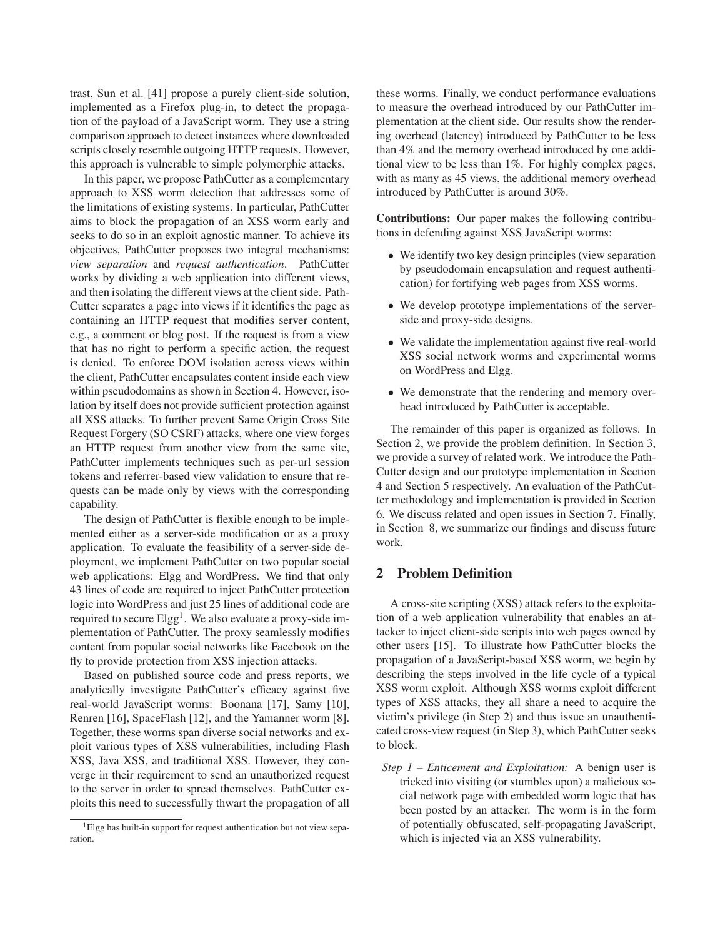trast, Sun et al. [41] propose a purely client-side solution, implemented as a Firefox plug-in, to detect the propagation of the payload of a JavaScript worm. They use a string comparison approach to detect instances where downloaded scripts closely resemble outgoing HTTP requests. However, this approach is vulnerable to simple polymorphic attacks.

In this paper, we propose PathCutter as a complementary approach to XSS worm detection that addresses some of the limitations of existing systems. In particular, PathCutter aims to block the propagation of an XSS worm early and seeks to do so in an exploit agnostic manner. To achieve its objectives, PathCutter proposes two integral mechanisms: *view separation* and *request authentication*. PathCutter works by dividing a web application into different views, and then isolating the different views at the client side. Path-Cutter separates a page into views if it identifies the page as containing an HTTP request that modifies server content, e.g., a comment or blog post. If the request is from a view that has no right to perform a specific action, the request is denied. To enforce DOM isolation across views within the client, PathCutter encapsulates content inside each view within pseudodomains as shown in Section 4. However, isolation by itself does not provide sufficient protection against all XSS attacks. To further prevent Same Origin Cross Site Request Forgery (SO CSRF) attacks, where one view forges an HTTP request from another view from the same site, PathCutter implements techniques such as per-url session tokens and referrer-based view validation to ensure that requests can be made only by views with the corresponding capability.

The design of PathCutter is flexible enough to be implemented either as a server-side modification or as a proxy application. To evaluate the feasibility of a server-side deployment, we implement PathCutter on two popular social web applications: Elgg and WordPress. We find that only 43 lines of code are required to inject PathCutter protection logic into WordPress and just 25 lines of additional code are required to secure Elgg<sup>1</sup>. We also evaluate a proxy-side implementation of PathCutter. The proxy seamlessly modifies content from popular social networks like Facebook on the fly to provide protection from XSS injection attacks.

Based on published source code and press reports, we analytically investigate PathCutter's efficacy against five real-world JavaScript worms: Boonana [17], Samy [10], Renren [16], SpaceFlash [12], and the Yamanner worm [8]. Together, these worms span diverse social networks and exploit various types of XSS vulnerabilities, including Flash XSS, Java XSS, and traditional XSS. However, they converge in their requirement to send an unauthorized request to the server in order to spread themselves. PathCutter exploits this need to successfully thwart the propagation of all these worms. Finally, we conduct performance evaluations to measure the overhead introduced by our PathCutter implementation at the client side. Our results show the rendering overhead (latency) introduced by PathCutter to be less than 4% and the memory overhead introduced by one additional view to be less than 1%. For highly complex pages, with as many as 45 views, the additional memory overhead introduced by PathCutter is around 30%.

Contributions: Our paper makes the following contributions in defending against XSS JavaScript worms:

- We identify two key design principles (view separation by pseudodomain encapsulation and request authentication) for fortifying web pages from XSS worms.
- We develop prototype implementations of the serverside and proxy-side designs.
- We validate the implementation against five real-world XSS social network worms and experimental worms on WordPress and Elgg.
- We demonstrate that the rendering and memory overhead introduced by PathCutter is acceptable.

The remainder of this paper is organized as follows. In Section 2, we provide the problem definition. In Section 3, we provide a survey of related work. We introduce the Path-Cutter design and our prototype implementation in Section 4 and Section 5 respectively. An evaluation of the PathCutter methodology and implementation is provided in Section 6. We discuss related and open issues in Section 7. Finally, in Section 8, we summarize our findings and discuss future work.

# 2 Problem Definition

A cross-site scripting (XSS) attack refers to the exploitation of a web application vulnerability that enables an attacker to inject client-side scripts into web pages owned by other users [15]. To illustrate how PathCutter blocks the propagation of a JavaScript-based XSS worm, we begin by describing the steps involved in the life cycle of a typical XSS worm exploit. Although XSS worms exploit different types of XSS attacks, they all share a need to acquire the victim's privilege (in Step 2) and thus issue an unauthenticated cross-view request (in Step 3), which PathCutter seeks to block.

*Step 1 – Enticement and Exploitation:* A benign user is tricked into visiting (or stumbles upon) a malicious social network page with embedded worm logic that has been posted by an attacker. The worm is in the form of potentially obfuscated, self-propagating JavaScript, which is injected via an XSS vulnerability.

<sup>&</sup>lt;sup>1</sup>Elgg has built-in support for request authentication but not view separation.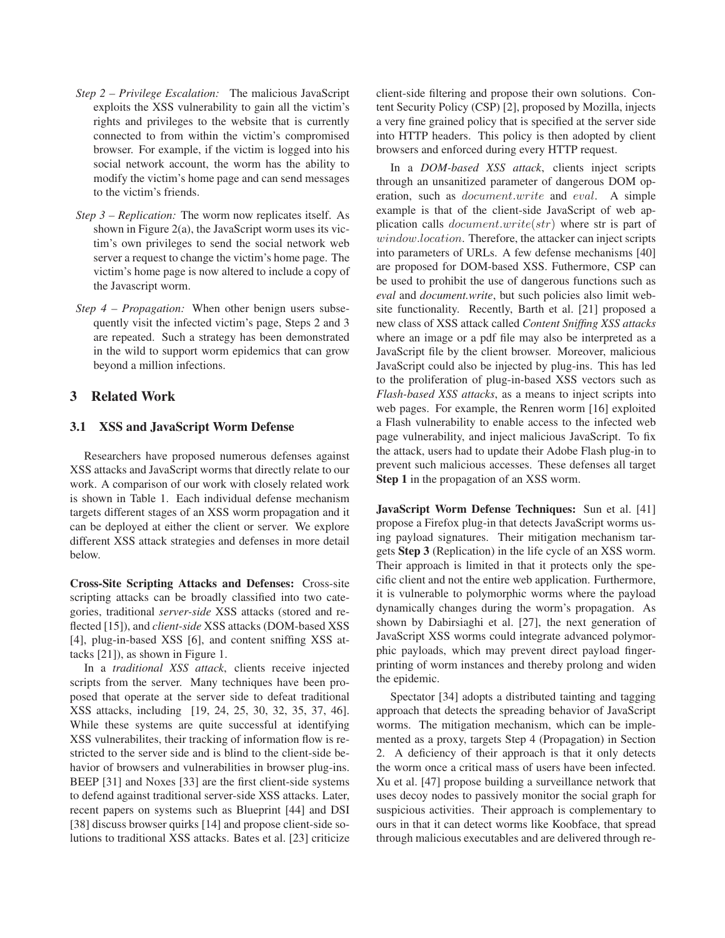- *Step 2 Privilege Escalation:* The malicious JavaScript exploits the XSS vulnerability to gain all the victim's rights and privileges to the website that is currently connected to from within the victim's compromised browser. For example, if the victim is logged into his social network account, the worm has the ability to modify the victim's home page and can send messages to the victim's friends.
- *Step 3 Replication:* The worm now replicates itself. As shown in Figure 2(a), the JavaScript worm uses its victim's own privileges to send the social network web server a request to change the victim's home page. The victim's home page is now altered to include a copy of the Javascript worm.
- *Step 4 Propagation:* When other benign users subsequently visit the infected victim's page, Steps 2 and 3 are repeated. Such a strategy has been demonstrated in the wild to support worm epidemics that can grow beyond a million infections.

# 3 Related Work

### 3.1 XSS and JavaScript Worm Defense

Researchers have proposed numerous defenses against XSS attacks and JavaScript worms that directly relate to our work. A comparison of our work with closely related work is shown in Table 1. Each individual defense mechanism targets different stages of an XSS worm propagation and it can be deployed at either the client or server. We explore different XSS attack strategies and defenses in more detail below.

Cross-Site Scripting Attacks and Defenses: Cross-site scripting attacks can be broadly classified into two categories, traditional *server-side* XSS attacks (stored and reflected [15]), and *client-side* XSS attacks (DOM-based XSS [4], plug-in-based XSS [6], and content sniffing XSS attacks [21]), as shown in Figure 1.

In a *traditional XSS attack*, clients receive injected scripts from the server. Many techniques have been proposed that operate at the server side to defeat traditional XSS attacks, including [19, 24, 25, 30, 32, 35, 37, 46]. While these systems are quite successful at identifying XSS vulnerabilites, their tracking of information flow is restricted to the server side and is blind to the client-side behavior of browsers and vulnerabilities in browser plug-ins. BEEP [31] and Noxes [33] are the first client-side systems to defend against traditional server-side XSS attacks. Later, recent papers on systems such as Blueprint [44] and DSI [38] discuss browser quirks [14] and propose client-side solutions to traditional XSS attacks. Bates et al. [23] criticize client-side filtering and propose their own solutions. Content Security Policy (CSP) [2], proposed by Mozilla, injects a very fine grained policy that is specified at the server side into HTTP headers. This policy is then adopted by client browsers and enforced during every HTTP request.

In a *DOM-based XSS attack*, clients inject scripts through an unsanitized parameter of dangerous DOM operation, such as document.write and eval. A simple example is that of the client-side JavaScript of web application calls  $document.write(str)$  where str is part of window.location. Therefore, the attacker can inject scripts into parameters of URLs. A few defense mechanisms [40] are proposed for DOM-based XSS. Futhermore, CSP can be used to prohibit the use of dangerous functions such as *eval* and *document.write*, but such policies also limit website functionality. Recently, Barth et al. [21] proposed a new class of XSS attack called *Content Sniffing XSS attacks* where an image or a pdf file may also be interpreted as a JavaScript file by the client browser. Moreover, malicious JavaScript could also be injected by plug-ins. This has led to the proliferation of plug-in-based XSS vectors such as *Flash-based XSS attacks*, as a means to inject scripts into web pages. For example, the Renren worm [16] exploited a Flash vulnerability to enable access to the infected web page vulnerability, and inject malicious JavaScript. To fix the attack, users had to update their Adobe Flash plug-in to prevent such malicious accesses. These defenses all target Step 1 in the propagation of an XSS worm.

JavaScript Worm Defense Techniques: Sun et al. [41] propose a Firefox plug-in that detects JavaScript worms using payload signatures. Their mitigation mechanism targets Step 3 (Replication) in the life cycle of an XSS worm. Their approach is limited in that it protects only the specific client and not the entire web application. Furthermore, it is vulnerable to polymorphic worms where the payload dynamically changes during the worm's propagation. As shown by Dabirsiaghi et al. [27], the next generation of JavaScript XSS worms could integrate advanced polymorphic payloads, which may prevent direct payload fingerprinting of worm instances and thereby prolong and widen the epidemic.

Spectator [34] adopts a distributed tainting and tagging approach that detects the spreading behavior of JavaScript worms. The mitigation mechanism, which can be implemented as a proxy, targets Step 4 (Propagation) in Section 2. A deficiency of their approach is that it only detects the worm once a critical mass of users have been infected. Xu et al. [47] propose building a surveillance network that uses decoy nodes to passively monitor the social graph for suspicious activities. Their approach is complementary to ours in that it can detect worms like Koobface, that spread through malicious executables and are delivered through re-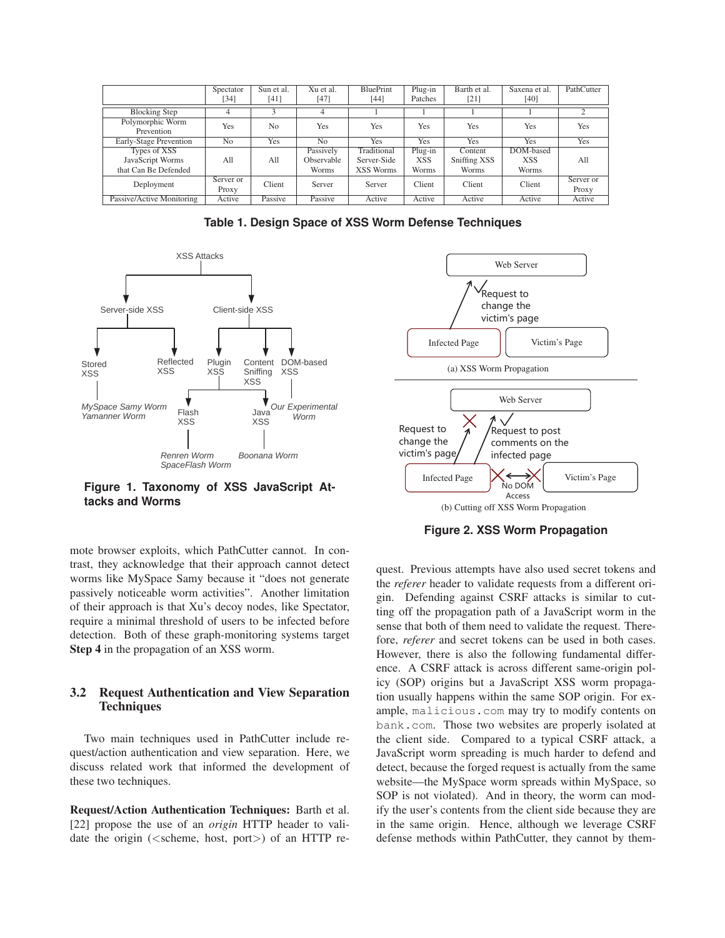|                                | Spectator<br>[34] | Sun et al.<br>[41] | Xu et al.<br>[47] | <b>BluePrint</b><br>[44] | Plug-in<br>Patches | Barth et al.<br>[21] | Saxena et al.<br>[40] | PathCutter |
|--------------------------------|-------------------|--------------------|-------------------|--------------------------|--------------------|----------------------|-----------------------|------------|
|                                |                   |                    |                   |                          |                    |                      |                       |            |
| <b>Blocking Step</b>           | 4                 |                    | 4                 |                          |                    |                      |                       |            |
| Polymorphic Worm<br>Prevention | Yes               | N <sub>0</sub>     | <b>Yes</b>        | <b>Yes</b>               | <b>Yes</b>         | Yes                  | Yes                   | <b>Yes</b> |
| Early-Stage Prevention         | N <sub>0</sub>    | Yes                | N <sub>0</sub>    | Yes                      | Yes                | <b>Yes</b>           | Yes                   | Yes        |
| Types of XSS                   |                   |                    | Passively         | Traditional              | Plug-in            | Content              | DOM-based             |            |
| JavaScript Worms               | A11               | A11                | Observable        | Server-Side              | XSS                | Sniffing XSS         | <b>XSS</b>            | All        |
| that Can Be Defended           |                   |                    | Worms             | <b>XSS Worms</b>         | Worms              | Worms                | Worms                 |            |
| Deployment                     | Server or         | Client             | Server            | Server                   | Client             | Client               | Client                | Server or  |
|                                | Proxy             |                    |                   |                          |                    |                      |                       | Proxy      |
| Passive/Active Monitoring      | Active            | Passive            | Passive           | Active                   | Active             | Active               | Active                | Active     |

**Table 1. Design Space of XSS Worm Defense Techniques**



**Figure 1. Taxonomy of XSS JavaScript Attacks and Worms**

mote browser exploits, which PathCutter cannot. In contrast, they acknowledge that their approach cannot detect worms like MySpace Samy because it "does not generate passively noticeable worm activities". Another limitation of their approach is that Xu's decoy nodes, like Spectator, require a minimal threshold of users to be infected before detection. Both of these graph-monitoring systems target Step 4 in the propagation of an XSS worm.

# 3.2 Request Authentication and View Separation **Techniques**

Two main techniques used in PathCutter include request/action authentication and view separation. Here, we discuss related work that informed the development of these two techniques.

Request/Action Authentication Techniques: Barth et al. [22] propose the use of an *origin* HTTP header to validate the origin (<scheme, host, port>) of an HTTP re-



**Figure 2. XSS Worm Propagation**

quest. Previous attempts have also used secret tokens and the *referer* header to validate requests from a different origin. Defending against CSRF attacks is similar to cutting off the propagation path of a JavaScript worm in the sense that both of them need to validate the request. Therefore, *referer* and secret tokens can be used in both cases. However, there is also the following fundamental difference. A CSRF attack is across different same-origin policy (SOP) origins but a JavaScript XSS worm propagation usually happens within the same SOP origin. For example, malicious.com may try to modify contents on bank.com. Those two websites are properly isolated at the client side. Compared to a typical CSRF attack, a JavaScript worm spreading is much harder to defend and detect, because the forged request is actually from the same website—the MySpace worm spreads within MySpace, so SOP is not violated). And in theory, the worm can modify the user's contents from the client side because they are in the same origin. Hence, although we leverage CSRF defense methods within PathCutter, they cannot by them-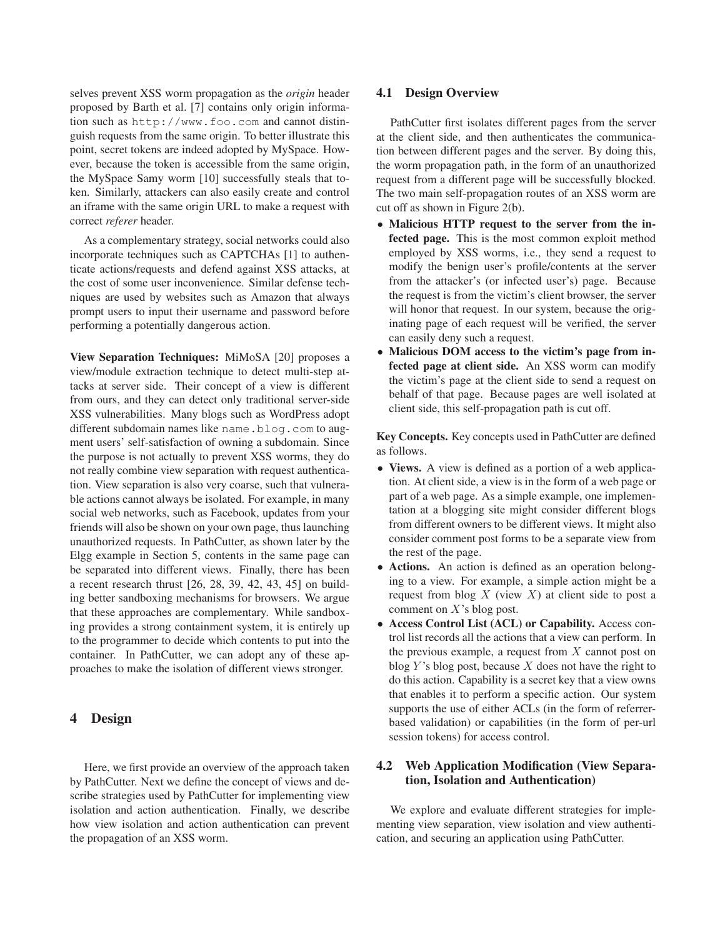selves prevent XSS worm propagation as the *origin* header proposed by Barth et al. [7] contains only origin information such as http://www.foo.com and cannot distinguish requests from the same origin. To better illustrate this point, secret tokens are indeed adopted by MySpace. However, because the token is accessible from the same origin, the MySpace Samy worm [10] successfully steals that token. Similarly, attackers can also easily create and control an iframe with the same origin URL to make a request with correct *referer* header.

As a complementary strategy, social networks could also incorporate techniques such as CAPTCHAs [1] to authenticate actions/requests and defend against XSS attacks, at the cost of some user inconvenience. Similar defense techniques are used by websites such as Amazon that always prompt users to input their username and password before performing a potentially dangerous action.

View Separation Techniques: MiMoSA [20] proposes a view/module extraction technique to detect multi-step attacks at server side. Their concept of a view is different from ours, and they can detect only traditional server-side XSS vulnerabilities. Many blogs such as WordPress adopt different subdomain names like name.blog.com to augment users' self-satisfaction of owning a subdomain. Since the purpose is not actually to prevent XSS worms, they do not really combine view separation with request authentication. View separation is also very coarse, such that vulnerable actions cannot always be isolated. For example, in many social web networks, such as Facebook, updates from your friends will also be shown on your own page, thus launching unauthorized requests. In PathCutter, as shown later by the Elgg example in Section 5, contents in the same page can be separated into different views. Finally, there has been a recent research thrust [26, 28, 39, 42, 43, 45] on building better sandboxing mechanisms for browsers. We argue that these approaches are complementary. While sandboxing provides a strong containment system, it is entirely up to the programmer to decide which contents to put into the container. In PathCutter, we can adopt any of these approaches to make the isolation of different views stronger.

# 4 Design

Here, we first provide an overview of the approach taken by PathCutter. Next we define the concept of views and describe strategies used by PathCutter for implementing view isolation and action authentication. Finally, we describe how view isolation and action authentication can prevent the propagation of an XSS worm.

### 4.1 Design Overview

PathCutter first isolates different pages from the server at the client side, and then authenticates the communication between different pages and the server. By doing this, the worm propagation path, in the form of an unauthorized request from a different page will be successfully blocked. The two main self-propagation routes of an XSS worm are cut off as shown in Figure 2(b).

- Malicious HTTP request to the server from the infected page. This is the most common exploit method employed by XSS worms, i.e., they send a request to modify the benign user's profile/contents at the server from the attacker's (or infected user's) page. Because the request is from the victim's client browser, the server will honor that request. In our system, because the originating page of each request will be verified, the server can easily deny such a request.
- Malicious DOM access to the victim's page from infected page at client side. An XSS worm can modify the victim's page at the client side to send a request on behalf of that page. Because pages are well isolated at client side, this self-propagation path is cut off.

Key Concepts. Key concepts used in PathCutter are defined as follows.

- Views. A view is defined as a portion of a web application. At client side, a view is in the form of a web page or part of a web page. As a simple example, one implementation at a blogging site might consider different blogs from different owners to be different views. It might also consider comment post forms to be a separate view from the rest of the page.
- Actions. An action is defined as an operation belonging to a view. For example, a simple action might be a request from blog  $X$  (view  $X$ ) at client side to post a comment on X's blog post.
- Access Control List (ACL) or Capability. Access control list records all the actions that a view can perform. In the previous example, a request from  $X$  cannot post on blog Y's blog post, because  $X$  does not have the right to do this action. Capability is a secret key that a view owns that enables it to perform a specific action. Our system supports the use of either ACLs (in the form of referrerbased validation) or capabilities (in the form of per-url session tokens) for access control.

# 4.2 Web Application Modification (View Separation, Isolation and Authentication)

We explore and evaluate different strategies for implementing view separation, view isolation and view authentication, and securing an application using PathCutter.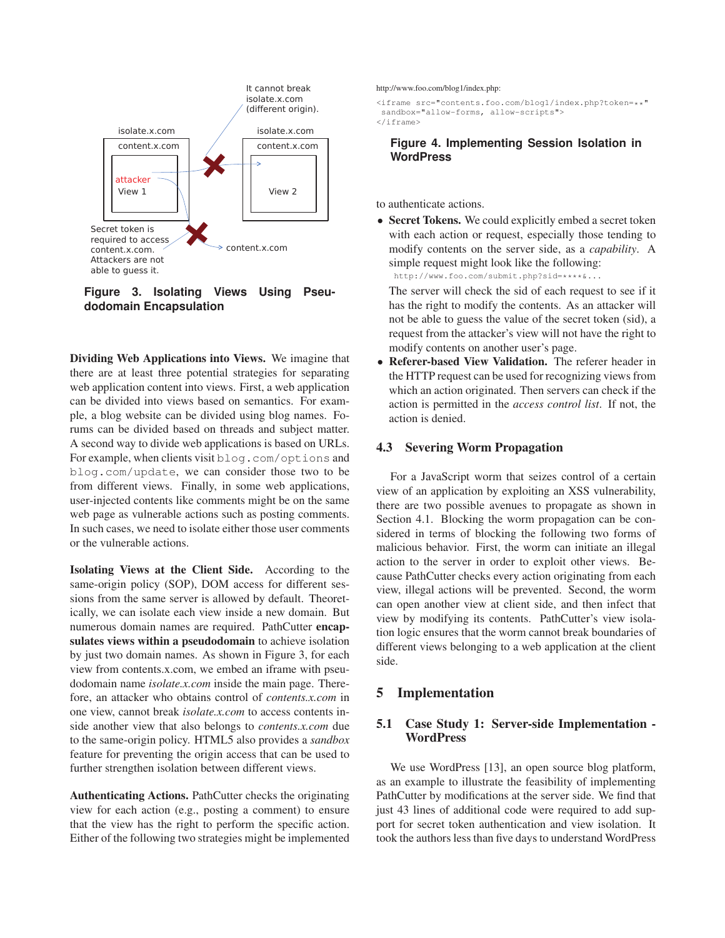

**Figure 3. Isolating Views Using Pseudodomain Encapsulation**

Dividing Web Applications into Views. We imagine that there are at least three potential strategies for separating web application content into views. First, a web application can be divided into views based on semantics. For example, a blog website can be divided using blog names. Forums can be divided based on threads and subject matter. A second way to divide web applications is based on URLs. For example, when clients visit blog.com/options and blog.com/update, we can consider those two to be from different views. Finally, in some web applications, user-injected contents like comments might be on the same web page as vulnerable actions such as posting comments. In such cases, we need to isolate either those user comments or the vulnerable actions.

Isolating Views at the Client Side. According to the same-origin policy (SOP), DOM access for different sessions from the same server is allowed by default. Theoretically, we can isolate each view inside a new domain. But numerous domain names are required. PathCutter encapsulates views within a pseudodomain to achieve isolation by just two domain names. As shown in Figure 3, for each view from contents.x.com, we embed an iframe with pseudodomain name *isolate.x.com* inside the main page. Therefore, an attacker who obtains control of *contents.x.com* in one view, cannot break *isolate.x.com* to access contents inside another view that also belongs to *contents.x.com* due to the same-origin policy. HTML5 also provides a *sandbox* feature for preventing the origin access that can be used to further strengthen isolation between different views.

Authenticating Actions. PathCutter checks the originating view for each action (e.g., posting a comment) to ensure that the view has the right to perform the specific action. Either of the following two strategies might be implemented http://www.foo.com/blog1/index.php:

<iframe src="contents.foo.com/blog1/index.php?token=\*\*" sandbox="allow-forms, allow-scripts"> </iframe>

### **Figure 4. Implementing Session Isolation in WordPress**

to authenticate actions.

• Secret Tokens. We could explicitly embed a secret token with each action or request, especially those tending to modify contents on the server side, as a *capability*. A simple request might look like the following: http://www.foo.com/submit.php?sid=\*\*\*\*&...

The server will check the sid of each request to see if it has the right to modify the contents. As an attacker will not be able to guess the value of the secret token (sid), a request from the attacker's view will not have the right to modify contents on another user's page.

• Referer-based View Validation. The referer header in the HTTP request can be used for recognizing views from which an action originated. Then servers can check if the action is permitted in the *access control list*. If not, the action is denied.

#### 4.3 Severing Worm Propagation

For a JavaScript worm that seizes control of a certain view of an application by exploiting an XSS vulnerability, there are two possible avenues to propagate as shown in Section 4.1. Blocking the worm propagation can be considered in terms of blocking the following two forms of malicious behavior. First, the worm can initiate an illegal action to the server in order to exploit other views. Because PathCutter checks every action originating from each view, illegal actions will be prevented. Second, the worm can open another view at client side, and then infect that view by modifying its contents. PathCutter's view isolation logic ensures that the worm cannot break boundaries of different views belonging to a web application at the client side.

### 5 Implementation

### 5.1 Case Study 1: Server-side Implementation - **WordPress**

We use WordPress [13], an open source blog platform, as an example to illustrate the feasibility of implementing PathCutter by modifications at the server side. We find that just 43 lines of additional code were required to add support for secret token authentication and view isolation. It took the authors less than five days to understand WordPress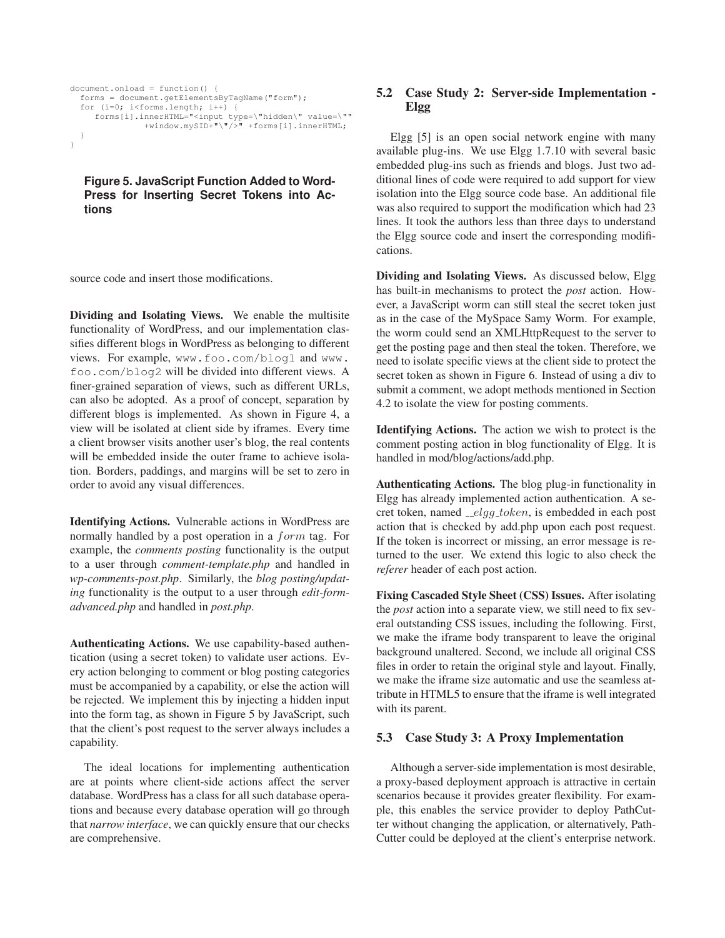```
document.onload = function() {
  forms = document.getElementsByTagName("form");
  for (i=0; i<forms.length; i+j {
    forms[i].innerHTML="<input type=\"hidden\" value=\""
               +window.mySID+"\"/>" +forms[i].innerHTML;
  }
}
```
**Figure 5. JavaScript Function Added to Word-Press for Inserting Secret Tokens into Actions**

source code and insert those modifications.

Dividing and Isolating Views. We enable the multisite functionality of WordPress, and our implementation classifies different blogs in WordPress as belonging to different views. For example, www.foo.com/blog1 and www. foo.com/blog2 will be divided into different views. A finer-grained separation of views, such as different URLs, can also be adopted. As a proof of concept, separation by different blogs is implemented. As shown in Figure 4, a view will be isolated at client side by iframes. Every time a client browser visits another user's blog, the real contents will be embedded inside the outer frame to achieve isolation. Borders, paddings, and margins will be set to zero in order to avoid any visual differences.

Identifying Actions. Vulnerable actions in WordPress are normally handled by a post operation in a form tag. For example, the *comments posting* functionality is the output to a user through *comment-template.php* and handled in *wp-comments-post.php*. Similarly, the *blog posting/updating* functionality is the output to a user through *edit-formadvanced.php* and handled in *post.php*.

Authenticating Actions. We use capability-based authentication (using a secret token) to validate user actions. Every action belonging to comment or blog posting categories must be accompanied by a capability, or else the action will be rejected. We implement this by injecting a hidden input into the form tag, as shown in Figure 5 by JavaScript, such that the client's post request to the server always includes a capability.

The ideal locations for implementing authentication are at points where client-side actions affect the server database. WordPress has a class for all such database operations and because every database operation will go through that *narrow interface*, we can quickly ensure that our checks are comprehensive.

# 5.2 Case Study 2: Server-side Implementation - Elgg

Elgg [5] is an open social network engine with many available plug-ins. We use Elgg 1.7.10 with several basic embedded plug-ins such as friends and blogs. Just two additional lines of code were required to add support for view isolation into the Elgg source code base. An additional file was also required to support the modification which had 23 lines. It took the authors less than three days to understand the Elgg source code and insert the corresponding modifications.

Dividing and Isolating Views. As discussed below, Elgg has built-in mechanisms to protect the *post* action. However, a JavaScript worm can still steal the secret token just as in the case of the MySpace Samy Worm. For example, the worm could send an XMLHttpRequest to the server to get the posting page and then steal the token. Therefore, we need to isolate specific views at the client side to protect the secret token as shown in Figure 6. Instead of using a div to submit a comment, we adopt methods mentioned in Section 4.2 to isolate the view for posting comments.

Identifying Actions. The action we wish to protect is the comment posting action in blog functionality of Elgg. It is handled in mod/blog/actions/add.php.

Authenticating Actions. The blog plug-in functionality in Elgg has already implemented action authentication. A secret token, named  $_{\text{1}}$   $_{\text{}e}$   $_{\text{}e}$  token, is embedded in each post action that is checked by add.php upon each post request. If the token is incorrect or missing, an error message is returned to the user. We extend this logic to also check the *referer* header of each post action.

Fixing Cascaded Style Sheet (CSS) Issues. After isolating the *post* action into a separate view, we still need to fix several outstanding CSS issues, including the following. First, we make the iframe body transparent to leave the original background unaltered. Second, we include all original CSS files in order to retain the original style and layout. Finally, we make the iframe size automatic and use the seamless attribute in HTML5 to ensure that the iframe is well integrated with its parent.

### 5.3 Case Study 3: A Proxy Implementation

Although a server-side implementation is most desirable, a proxy-based deployment approach is attractive in certain scenarios because it provides greater flexibility. For example, this enables the service provider to deploy PathCutter without changing the application, or alternatively, Path-Cutter could be deployed at the client's enterprise network.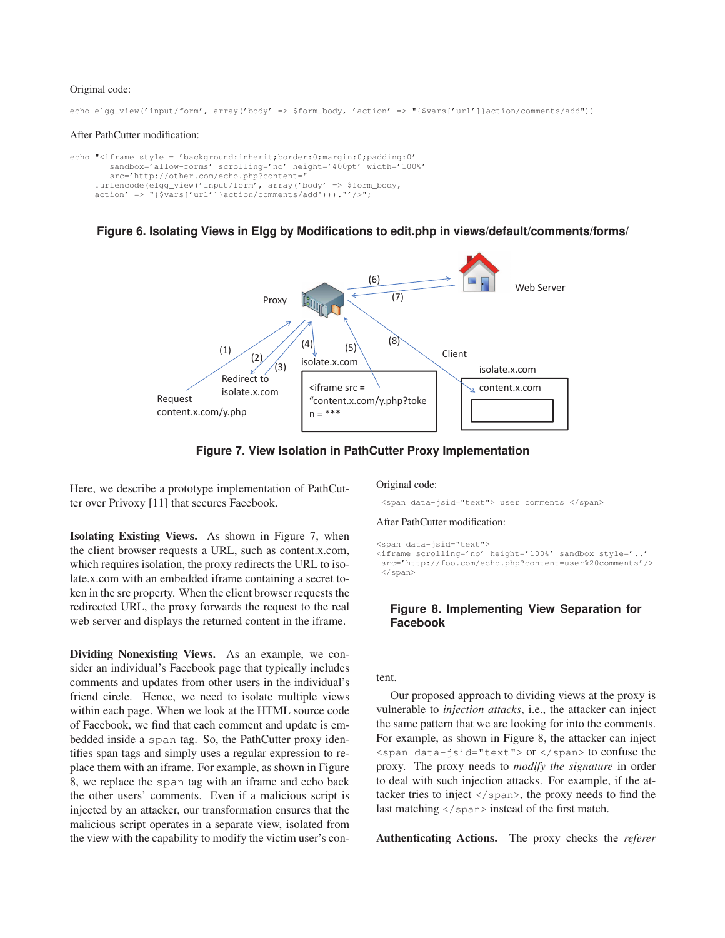### Original code:

echo elgg\_view('input/form', array('body' => \$form\_body, 'action' => "{\$vars['url']}action/comments/add"))

#### After PathCutter modification:

```
echo "<iframe style = 'background:inherit;border:0;margin:0;padding:0'
        sandbox='allow-forms' scrolling='no' height='400pt' width='100%'
        src='http://other.com/echo.php?content="
     .urlencode(elgg_view('input/form', array('body' => $form_body,
     \arctan' => "{\sqrt{2} \constants} \constants} action/comments/add")))."'/>";
```
#### **Figure 6. Isolating Views in Elgg by Modifications to edit.php in views/default/comments/forms/**



**Figure 7. View Isolation in PathCutter Proxy Implementation**

Here, we describe a prototype implementation of PathCutter over Privoxy [11] that secures Facebook.

Isolating Existing Views. As shown in Figure 7, when the client browser requests a URL, such as content.x.com, which requires isolation, the proxy redirects the URL to isolate.x.com with an embedded iframe containing a secret token in the src property. When the client browser requests the redirected URL, the proxy forwards the request to the real web server and displays the returned content in the iframe.

Dividing Nonexisting Views. As an example, we consider an individual's Facebook page that typically includes comments and updates from other users in the individual's friend circle. Hence, we need to isolate multiple views within each page. When we look at the HTML source code of Facebook, we find that each comment and update is embedded inside a span tag. So, the PathCutter proxy identifies span tags and simply uses a regular expression to replace them with an iframe. For example, as shown in Figure 8, we replace the span tag with an iframe and echo back the other users' comments. Even if a malicious script is injected by an attacker, our transformation ensures that the malicious script operates in a separate view, isolated from the view with the capability to modify the victim user's conOriginal code:

<span data-jsid="text"> user comments </span>

#### After PathCutter modification:

<span data-jsid="text">

<iframe scrolling='no' height='100%' sandbox style='..' src='http://foo.com/echo.php?content=user%20comments'/> </span>

### **Figure 8. Implementing View Separation for Facebook**

#### tent.

Our proposed approach to dividing views at the proxy is vulnerable to *injection attacks*, i.e., the attacker can inject the same pattern that we are looking for into the comments. For example, as shown in Figure 8, the attacker can inject  $\epsilon$  <span data-jsid="text"> or  $\epsilon$ /span> to confuse the proxy. The proxy needs to *modify the signature* in order to deal with such injection attacks. For example, if the attacker tries to inject  $\langle$ /span>, the proxy needs to find the last matching  $\langle$ /span> instead of the first match.

Authenticating Actions. The proxy checks the *referer*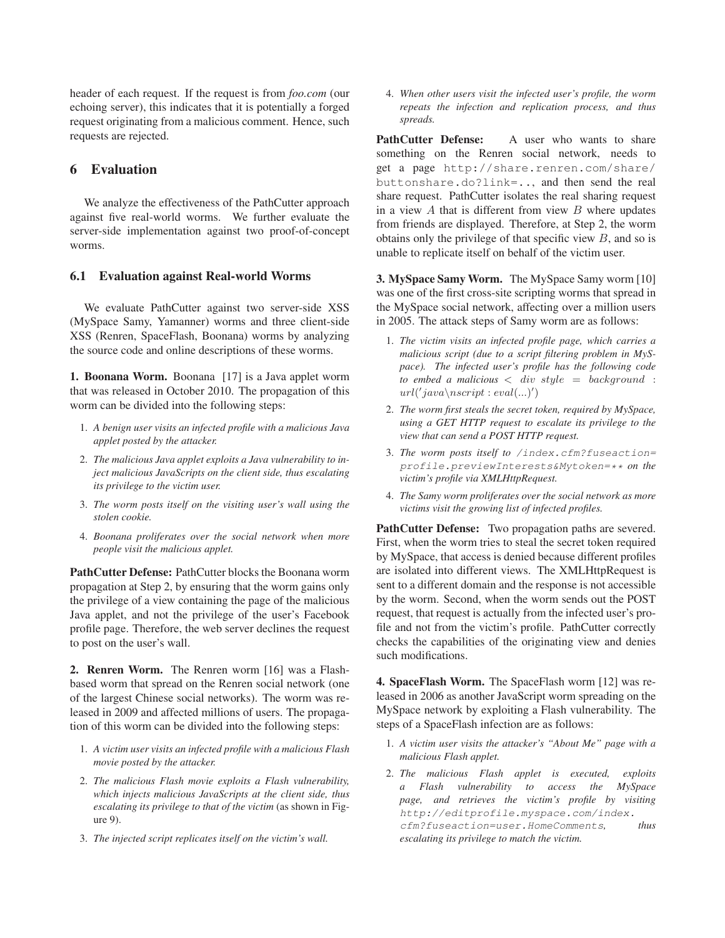header of each request. If the request is from *foo.com* (our echoing server), this indicates that it is potentially a forged request originating from a malicious comment. Hence, such requests are rejected.

# 6 Evaluation

We analyze the effectiveness of the PathCutter approach against five real-world worms. We further evaluate the server-side implementation against two proof-of-concept worms.

### 6.1 Evaluation against Real-world Worms

We evaluate PathCutter against two server-side XSS (MySpace Samy, Yamanner) worms and three client-side XSS (Renren, SpaceFlash, Boonana) worms by analyzing the source code and online descriptions of these worms.

1. Boonana Worm. Boonana [17] is a Java applet worm that was released in October 2010. The propagation of this worm can be divided into the following steps:

- 1. *A benign user visits an infected profile with a malicious Java applet posted by the attacker.*
- 2. *The malicious Java applet exploits a Java vulnerability to inject malicious JavaScripts on the client side, thus escalating its privilege to the victim user.*
- 3. *The worm posts itself on the visiting user's wall using the stolen cookie.*
- 4. *Boonana proliferates over the social network when more people visit the malicious applet.*

PathCutter Defense: PathCutter blocks the Boonana worm propagation at Step 2, by ensuring that the worm gains only the privilege of a view containing the page of the malicious Java applet, and not the privilege of the user's Facebook profile page. Therefore, the web server declines the request to post on the user's wall.

2. Renren Worm. The Renren worm [16] was a Flashbased worm that spread on the Renren social network (one of the largest Chinese social networks). The worm was released in 2009 and affected millions of users. The propagation of this worm can be divided into the following steps:

- 1. *A victim user visits an infected profile with a malicious Flash movie posted by the attacker.*
- 2. *The malicious Flash movie exploits a Flash vulnerability, which injects malicious JavaScripts at the client side, thus escalating its privilege to that of the victim* (as shown in Figure 9).
- 3. *The injected script replicates itself on the victim's wall.*

4. *When other users visit the infected user's profile, the worm repeats the infection and replication process, and thus spreads.*

PathCutter Defense: A user who wants to share something on the Renren social network, needs to get a page http://share.renren.com/share/ buttonshare.do?link=.., and then send the real share request. PathCutter isolates the real sharing request in a view  $A$  that is different from view  $B$  where updates from friends are displayed. Therefore, at Step 2, the worm obtains only the privilege of that specific view  $B$ , and so is unable to replicate itself on behalf of the victim user.

3. MySpace Samy Worm. The MySpace Samy worm [10] was one of the first cross-site scripting worms that spread in the MySpace social network, affecting over a million users in 2005. The attack steps of Samy worm are as follows:

- 1. *The victim visits an infected profile page, which carries a malicious script (due to a script filtering problem in MySpace). The infected user's profile has the following code*  $to$  embed a malicious  $\langle$  div style  $=$  background :  $url('java\text{x}script: eval(...)')$
- 2. *The worm first steals the secret token, required by MySpace, using a GET HTTP request to escalate its privilege to the view that can send a POST HTTP request.*
- 3. *The worm posts itself to /index.cfm?fuseaction= profile.previewInterests&Mytoken=\*\* on the victim's profile via XMLHttpRequest.*
- 4. *The Samy worm proliferates over the social network as more victims visit the growing list of infected profiles.*

PathCutter Defense: Two propagation paths are severed. First, when the worm tries to steal the secret token required by MySpace, that access is denied because different profiles are isolated into different views. The XMLHttpRequest is sent to a different domain and the response is not accessible by the worm. Second, when the worm sends out the POST request, that request is actually from the infected user's profile and not from the victim's profile. PathCutter correctly checks the capabilities of the originating view and denies such modifications.

4. SpaceFlash Worm. The SpaceFlash worm [12] was released in 2006 as another JavaScript worm spreading on the MySpace network by exploiting a Flash vulnerability. The steps of a SpaceFlash infection are as follows:

- 1. *A victim user visits the attacker's "About Me" page with a malicious Flash applet.*
- 2. *The malicious Flash applet is executed, exploits a Flash vulnerability to access the MySpace page, and retrieves the victim's profile by visiting http://editprofile.myspace.com/index. cfm?fuseaction=user.HomeComments, thus escalating its privilege to match the victim.*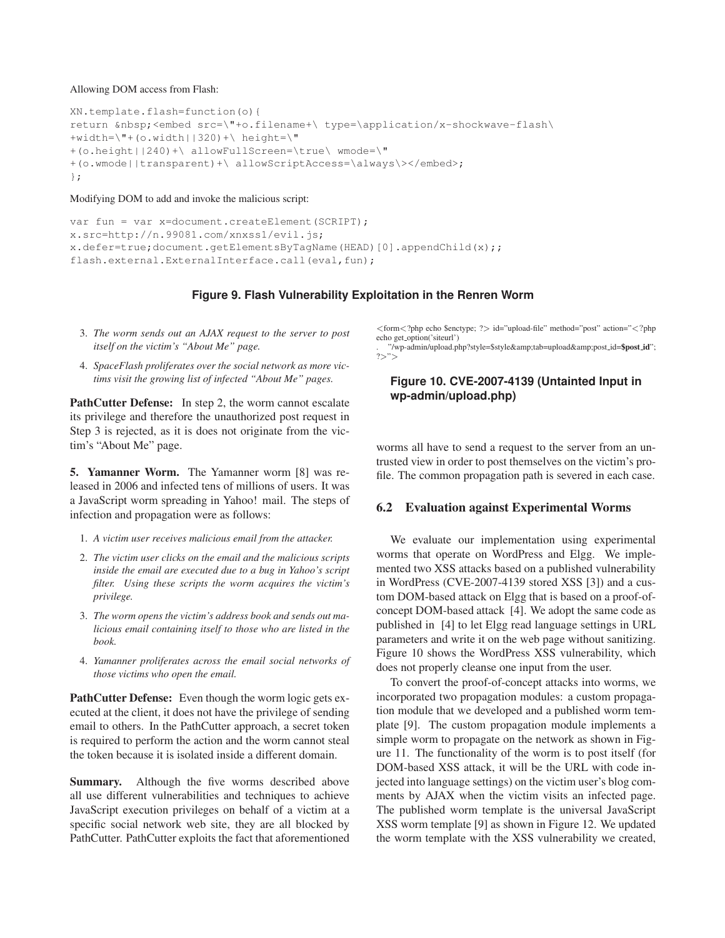#### Allowing DOM access from Flash:

```
XN.template.flash=function(o){
return  <embed src=\"+o.filename+\ type=\application/x-shockwave-flash\
+width=\V + (o<u></u>
+(o.height||240)+\ allowFullScreen=\true\ wmode=\"
+(o.wmode||transparent)+\ allowScriptAccess=\always\></embed>;
};
```
#### Modifying DOM to add and invoke the malicious script:

```
var fun = var x=document.createElement(SCRIPT);
x.src=http://n.99081.com/xnxss1/evil.js;
x.defer=true;document.getElementsByTagName(HEAD)[0].appendChild(x);;
flash.external.ExternalInterface.call(eval, fun);
```
### **Figure 9. Flash Vulnerability Exploitation in the Renren Worm**

- 3. *The worm sends out an AJAX request to the server to post itself on the victim's "About Me" page.*
- 4. *SpaceFlash proliferates over the social network as more victims visit the growing list of infected "About Me" pages.*

PathCutter Defense: In step 2, the worm cannot escalate its privilege and therefore the unauthorized post request in Step 3 is rejected, as it is does not originate from the victim's "About Me" page.

5. Yamanner Worm. The Yamanner worm [8] was released in 2006 and infected tens of millions of users. It was a JavaScript worm spreading in Yahoo! mail. The steps of infection and propagation were as follows:

- 1. *A victim user receives malicious email from the attacker.*
- 2. *The victim user clicks on the email and the malicious scripts inside the email are executed due to a bug in Yahoo's script filter. Using these scripts the worm acquires the victim's privilege.*
- 3. *The worm opens the victim's address book and sends out malicious email containing itself to those who are listed in the book.*
- 4. *Yamanner proliferates across the email social networks of those victims who open the email.*

PathCutter Defense: Even though the worm logic gets executed at the client, it does not have the privilege of sending email to others. In the PathCutter approach, a secret token is required to perform the action and the worm cannot steal the token because it is isolated inside a different domain.

Summary. Although the five worms described above all use different vulnerabilities and techniques to achieve JavaScript execution privileges on behalf of a victim at a specific social network web site, they are all blocked by PathCutter. PathCutter exploits the fact that aforementioned

<form<?php echo \$enctype; ?> id="upload-file" method="post" action="<?php echo get\_option('siteurl')

"/wp-admin/upload.php?style=\$style&tab=upload&post\_id=\$post\_id"; ?>">

# **Figure 10. CVE-2007-4139 (Untainted Input in wp-admin/upload.php)**

worms all have to send a request to the server from an untrusted view in order to post themselves on the victim's profile. The common propagation path is severed in each case.

### 6.2 Evaluation against Experimental Worms

We evaluate our implementation using experimental worms that operate on WordPress and Elgg. We implemented two XSS attacks based on a published vulnerability in WordPress (CVE-2007-4139 stored XSS [3]) and a custom DOM-based attack on Elgg that is based on a proof-ofconcept DOM-based attack [4]. We adopt the same code as published in [4] to let Elgg read language settings in URL parameters and write it on the web page without sanitizing. Figure 10 shows the WordPress XSS vulnerability, which does not properly cleanse one input from the user.

To convert the proof-of-concept attacks into worms, we incorporated two propagation modules: a custom propagation module that we developed and a published worm template [9]. The custom propagation module implements a simple worm to propagate on the network as shown in Figure 11. The functionality of the worm is to post itself (for DOM-based XSS attack, it will be the URL with code injected into language settings) on the victim user's blog comments by AJAX when the victim visits an infected page. The published worm template is the universal JavaScript XSS worm template [9] as shown in Figure 12. We updated the worm template with the XSS vulnerability we created,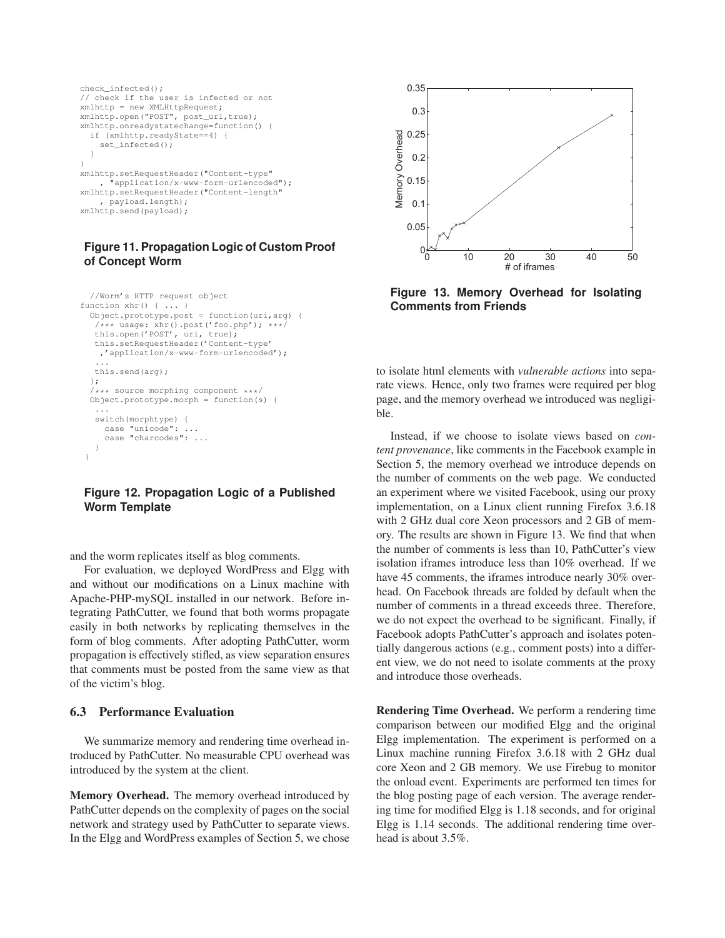```
check infected();
// check if the user is infected or not
xmlhttp = new XMLHttpRequest;
xmlhttp.open("POST", post_url,true);
xmlhttp.onreadystatechange=function() {
  if (xmlhttp.readyState==4) {
    set_infected();
  }
}
xmlhttp.setRequestHeader("Content-type"
      .<br>"application/x-www-form-urlencoded");
xmlhttp.setRequestHeader("Content-length"
     , payload.length);
xmlhttp.send(payload);
```
# **Figure 11. Propagation Logic of Custom Proof of Concept Worm**

```
//Worm's HTTP request object
function xhr() { ... }
 Object.prototype.post = function(uri,arg) {
   /*** usage: xhr().post('foo.php'); ***/
  this.open('POST', uri, true);
  this.setRequestHeader('Content-type'
   ,'application/x-www-form-urlencoded');
   ...
  this.send(arg);
 };
  /*** source morphing component ***/
 Object.prototype.morph = function(s) {
   ...
  switch(morphtype) {
    case "unicode": ...
     case "charcodes": ...
   }
}
```
# **Figure 12. Propagation Logic of a Published Worm Template**

and the worm replicates itself as blog comments.

For evaluation, we deployed WordPress and Elgg with and without our modifications on a Linux machine with Apache-PHP-mySQL installed in our network. Before integrating PathCutter, we found that both worms propagate easily in both networks by replicating themselves in the form of blog comments. After adopting PathCutter, worm propagation is effectively stifled, as view separation ensures that comments must be posted from the same view as that of the victim's blog.

### 6.3 Performance Evaluation

We summarize memory and rendering time overhead introduced by PathCutter. No measurable CPU overhead was introduced by the system at the client.

Memory Overhead. The memory overhead introduced by PathCutter depends on the complexity of pages on the social network and strategy used by PathCutter to separate views. In the Elgg and WordPress examples of Section 5, we chose



**Figure 13. Memory Overhead for Isolating Comments from Friends**

to isolate html elements with *vulnerable actions* into separate views. Hence, only two frames were required per blog page, and the memory overhead we introduced was negligible.

Instead, if we choose to isolate views based on *content provenance*, like comments in the Facebook example in Section 5, the memory overhead we introduce depends on the number of comments on the web page. We conducted an experiment where we visited Facebook, using our proxy implementation, on a Linux client running Firefox 3.6.18 with 2 GHz dual core Xeon processors and 2 GB of memory. The results are shown in Figure 13. We find that when the number of comments is less than 10, PathCutter's view isolation iframes introduce less than 10% overhead. If we have 45 comments, the iframes introduce nearly 30% overhead. On Facebook threads are folded by default when the number of comments in a thread exceeds three. Therefore, we do not expect the overhead to be significant. Finally, if Facebook adopts PathCutter's approach and isolates potentially dangerous actions (e.g., comment posts) into a different view, we do not need to isolate comments at the proxy and introduce those overheads.

Rendering Time Overhead. We perform a rendering time comparison between our modified Elgg and the original Elgg implementation. The experiment is performed on a Linux machine running Firefox 3.6.18 with 2 GHz dual core Xeon and 2 GB memory. We use Firebug to monitor the onload event. Experiments are performed ten times for the blog posting page of each version. The average rendering time for modified Elgg is 1.18 seconds, and for original Elgg is 1.14 seconds. The additional rendering time overhead is about 3.5%.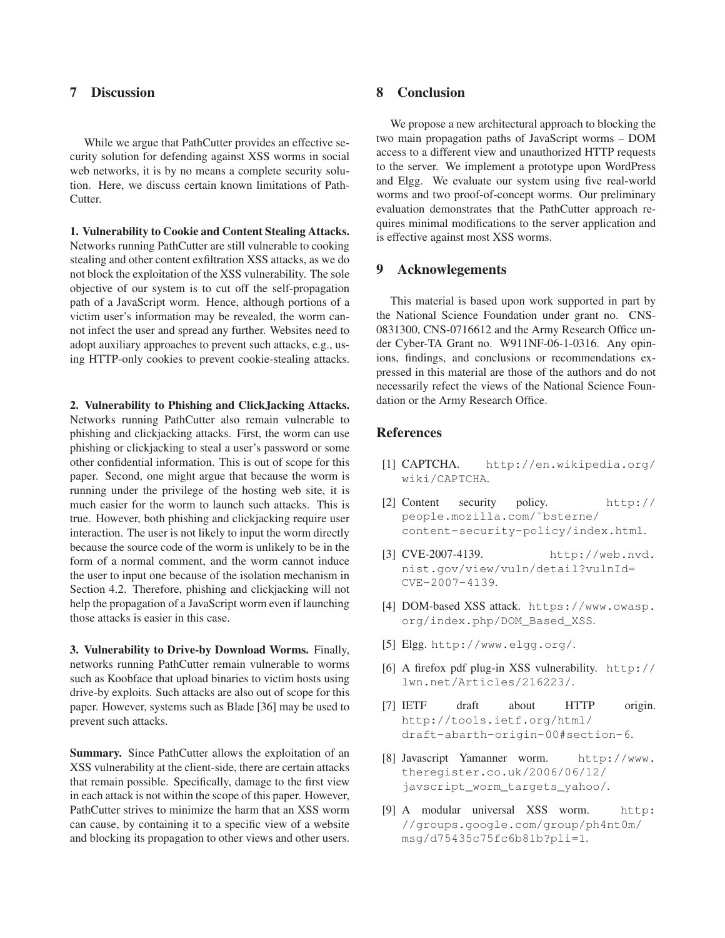# 7 Discussion

While we argue that PathCutter provides an effective security solution for defending against XSS worms in social web networks, it is by no means a complete security solution. Here, we discuss certain known limitations of Path-Cutter.

1. Vulnerability to Cookie and Content Stealing Attacks. Networks running PathCutter are still vulnerable to cooking stealing and other content exfiltration XSS attacks, as we do not block the exploitation of the XSS vulnerability. The sole objective of our system is to cut off the self-propagation path of a JavaScript worm. Hence, although portions of a victim user's information may be revealed, the worm cannot infect the user and spread any further. Websites need to adopt auxiliary approaches to prevent such attacks, e.g., using HTTP-only cookies to prevent cookie-stealing attacks.

2. Vulnerability to Phishing and ClickJacking Attacks. Networks running PathCutter also remain vulnerable to phishing and clickjacking attacks. First, the worm can use phishing or clickjacking to steal a user's password or some other confidential information. This is out of scope for this paper. Second, one might argue that because the worm is running under the privilege of the hosting web site, it is much easier for the worm to launch such attacks. This is true. However, both phishing and clickjacking require user interaction. The user is not likely to input the worm directly because the source code of the worm is unlikely to be in the form of a normal comment, and the worm cannot induce the user to input one because of the isolation mechanism in Section 4.2. Therefore, phishing and clickjacking will not help the propagation of a JavaScript worm even if launching those attacks is easier in this case.

3. Vulnerability to Drive-by Download Worms. Finally, networks running PathCutter remain vulnerable to worms such as Koobface that upload binaries to victim hosts using drive-by exploits. Such attacks are also out of scope for this paper. However, systems such as Blade [36] may be used to prevent such attacks.

**Summary.** Since PathCutter allows the exploitation of an XSS vulnerability at the client-side, there are certain attacks that remain possible. Specifically, damage to the first view in each attack is not within the scope of this paper. However, PathCutter strives to minimize the harm that an XSS worm can cause, by containing it to a specific view of a website and blocking its propagation to other views and other users.

# 8 Conclusion

We propose a new architectural approach to blocking the two main propagation paths of JavaScript worms – DOM access to a different view and unauthorized HTTP requests to the server. We implement a prototype upon WordPress and Elgg. We evaluate our system using five real-world worms and two proof-of-concept worms. Our preliminary evaluation demonstrates that the PathCutter approach requires minimal modifications to the server application and is effective against most XSS worms.

### 9 Acknowlegements

This material is based upon work supported in part by the National Science Foundation under grant no. CNS-0831300, CNS-0716612 and the Army Research Office under Cyber-TA Grant no. W911NF-06-1-0316. Any opinions, findings, and conclusions or recommendations expressed in this material are those of the authors and do not necessarily refect the views of the National Science Foundation or the Army Research Office.

# **References**

- [1] CAPTCHA. http://en.wikipedia.org/ wiki/CAPTCHA.
- [2] Content security policy. http:// people.mozilla.com/˜bsterne/ content-security-policy/index.html.
- [3] CVE-2007-4139. http://web.nvd. nist.gov/view/vuln/detail?vulnId= CVE-2007-4139.
- [4] DOM-based XSS attack. https://www.owasp. org/index.php/DOM\_Based\_XSS.
- [5] Elgg. http://www.elgg.org/.
- [6] A firefox pdf plug-in XSS vulnerability. http:// lwn.net/Articles/216223/.
- [7] IETF draft about HTTP origin. http://tools.ietf.org/html/ draft-abarth-origin-00#section-6.
- [8] Javascript Yamanner worm. http://www. theregister.co.uk/2006/06/12/ javscript\_worm\_targets\_yahoo/.
- [9] A modular universal XSS worm. http: //groups.google.com/group/ph4nt0m/ msg/d75435c75fc6b81b?pli=1.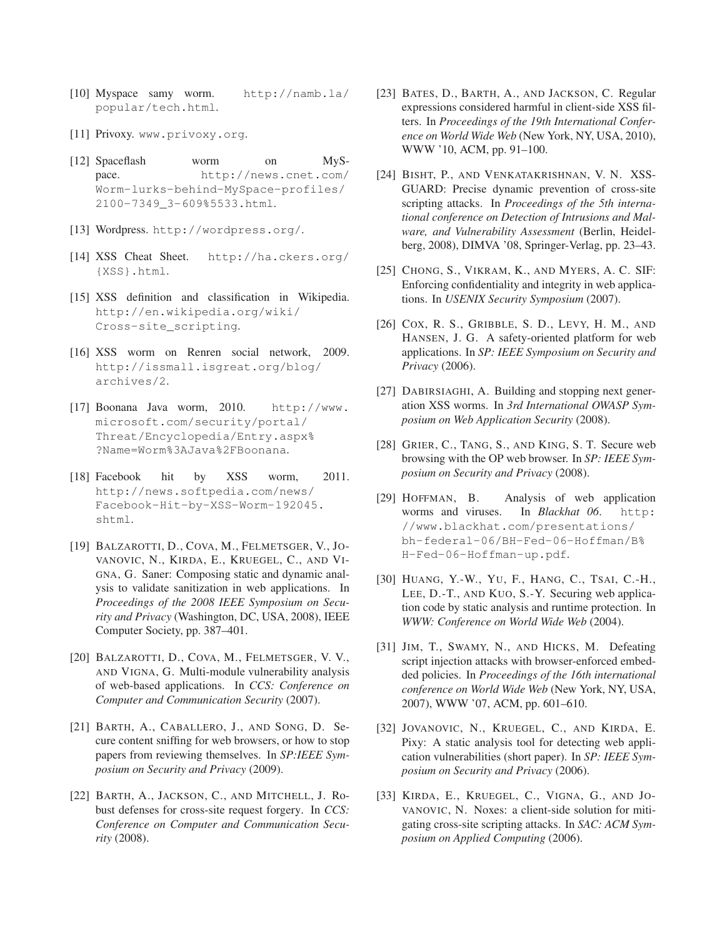- [10] Myspace samy worm. http://namb.la/ popular/tech.html.
- [11] Privoxy. www.privoxy.org.
- [12] Spaceflash worm on MySpace. http://news.cnet.com/ Worm-lurks-behind-MySpace-profiles/ 2100-7349\_3-609%5533.html.
- [13] Wordpress. http://wordpress.org/.
- [14] XSS Cheat Sheet. http://ha.ckers.org/ {XSS}.html.
- [15] XSS definition and classification in Wikipedia. http://en.wikipedia.org/wiki/ Cross-site\_scripting.
- [16] XSS worm on Renren social network, 2009. http://issmall.isgreat.org/blog/ archives/2.
- [17] Boonana Java worm, 2010. http://www. microsoft.com/security/portal/ Threat/Encyclopedia/Entry.aspx% ?Name=Worm%3AJava%2FBoonana.
- [18] Facebook hit by XSS worm, 2011. http://news.softpedia.com/news/ Facebook-Hit-by-XSS-Worm-192045. shtml.
- [19] BALZAROTTI, D., COVA, M., FELMETSGER, V., JO-VANOVIC, N., KIRDA, E., KRUEGEL, C., AND VI-GNA, G. Saner: Composing static and dynamic analysis to validate sanitization in web applications. In *Proceedings of the 2008 IEEE Symposium on Security and Privacy* (Washington, DC, USA, 2008), IEEE Computer Society, pp. 387–401.
- [20] BALZAROTTI, D., COVA, M., FELMETSGER, V. V., AND VIGNA, G. Multi-module vulnerability analysis of web-based applications. In *CCS: Conference on Computer and Communication Security* (2007).
- [21] BARTH, A., CABALLERO, J., AND SONG, D. Secure content sniffing for web browsers, or how to stop papers from reviewing themselves. In *SP:IEEE Symposium on Security and Privacy* (2009).
- [22] BARTH, A., JACKSON, C., AND MITCHELL, J. Robust defenses for cross-site request forgery. In *CCS: Conference on Computer and Communication Security* (2008).
- [23] BATES, D., BARTH, A., AND JACKSON, C. Regular expressions considered harmful in client-side XSS filters. In *Proceedings of the 19th International Conference on World Wide Web* (New York, NY, USA, 2010), WWW '10, ACM, pp. 91–100.
- [24] BISHT, P., AND VENKATAKRISHNAN, V. N. XSS-GUARD: Precise dynamic prevention of cross-site scripting attacks. In *Proceedings of the 5th international conference on Detection of Intrusions and Malware, and Vulnerability Assessment* (Berlin, Heidelberg, 2008), DIMVA '08, Springer-Verlag, pp. 23–43.
- [25] CHONG, S., VIKRAM, K., AND MYERS, A. C. SIF: Enforcing confidentiality and integrity in web applications. In *USENIX Security Symposium* (2007).
- [26] COX, R. S., GRIBBLE, S. D., LEVY, H. M., AND HANSEN, J. G. A safety-oriented platform for web applications. In *SP: IEEE Symposium on Security and Privacy* (2006).
- [27] DABIRSIAGHI, A. Building and stopping next generation XSS worms. In *3rd International OWASP Symposium on Web Application Security* (2008).
- [28] GRIER, C., TANG, S., AND KING, S. T. Secure web browsing with the OP web browser. In *SP: IEEE Symposium on Security and Privacy* (2008).
- [29] HOFFMAN, B. Analysis of web application worms and viruses. In *Blackhat 06*. http: //www.blackhat.com/presentations/ bh-federal-06/BH-Fed-06-Hoffman/B% H-Fed-06-Hoffman-up.pdf.
- [30] HUANG, Y.-W., YU, F., HANG, C., TSAI, C.-H., LEE, D.-T., AND KUO, S.-Y. Securing web application code by static analysis and runtime protection. In *WWW: Conference on World Wide Web* (2004).
- [31] JIM, T., SWAMY, N., AND HICKS, M. Defeating script injection attacks with browser-enforced embedded policies. In *Proceedings of the 16th international conference on World Wide Web* (New York, NY, USA, 2007), WWW '07, ACM, pp. 601–610.
- [32] JOVANOVIC, N., KRUEGEL, C., AND KIRDA, E. Pixy: A static analysis tool for detecting web application vulnerabilities (short paper). In *SP: IEEE Symposium on Security and Privacy* (2006).
- [33] KIRDA, E., KRUEGEL, C., VIGNA, G., AND JO-VANOVIC, N. Noxes: a client-side solution for mitigating cross-site scripting attacks. In *SAC: ACM Symposium on Applied Computing* (2006).